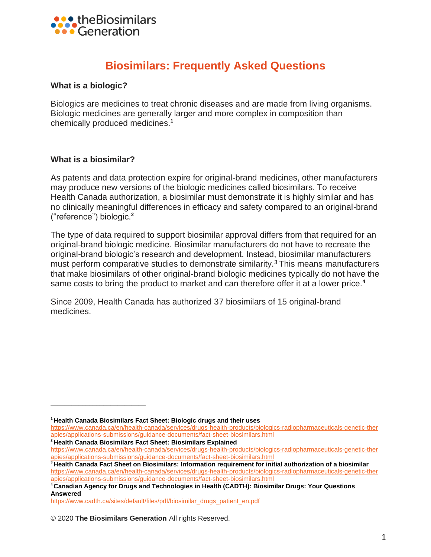

# **Biosimilars: Frequently Asked Questions**

#### **What is a biologic?**

Biologics are medicines to treat chronic diseases and are made from living organisms. Biologic medicines are generally larger and more complex in composition than chemically produced medicines.**<sup>1</sup>**

#### **What is a biosimilar?**

**\_\_\_\_\_\_\_\_\_\_\_\_\_\_\_\_\_\_\_\_\_\_\_\_\_\_\_**

As patents and data protection expire for original-brand medicines, other manufacturers may produce new versions of the biologic medicines called biosimilars. To receive Health Canada authorization, a biosimilar must demonstrate it is highly similar and has no clinically meaningful differences in efficacy and safety compared to an original-brand ("reference") biologic.**<sup>2</sup>**

The type of data required to support biosimilar approval differs from that required for an original-brand biologic medicine. Biosimilar manufacturers do not have to recreate the original-brand biologic's research and development. Instead, biosimilar manufacturers must perform comparative studies to demonstrate similarity.<sup>3</sup> This means manufacturers that make biosimilars of other original-brand biologic medicines typically do not have the same costs to bring the product to market and can therefore offer it at a lower price.**<sup>4</sup>**

Since 2009, Health Canada has authorized 37 biosimilars of 15 original-brand medicines.

**<sup>4</sup>Canadian Agency for Drugs and Technologies in Health (CADTH): Biosimilar Drugs: Your Questions Answered** 

[https://www.cadth.ca/sites/default/files/pdf/biosimilar\\_drugs\\_patient\\_en.pdf](https://www.cadth.ca/sites/default/files/pdf/biosimilar_drugs_patient_en.pdf)

© 2020 **The Biosimilars Generation** All rights Reserved.

**<sup>1</sup>Health Canada Biosimilars Fact Sheet: Biologic drugs and their uses** 

[https://www.canada.ca/en/health-canada/services/drugs-health-products/biologics-radiopharmaceuticals-genetic-ther](https://www.canada.ca/en/health-canada/services/drugs-health-products/biologics-radiopharmaceuticals-genetic-ther%20apies/applications-submissions/guidance-documents/fact-sheet-biosimilars.html)  [apies/applications-submissions/guidance-documents/fact-sheet-biosimilars.html](https://www.canada.ca/en/health-canada/services/drugs-health-products/biologics-radiopharmaceuticals-genetic-ther%20apies/applications-submissions/guidance-documents/fact-sheet-biosimilars.html)

**<sup>2</sup>Health Canada Biosimilars Fact Sheet: Biosimilars Explained** 

[https://www.canada.ca/en/health-canada/services/drugs-health-products/biologics-radiopharmaceuticals-genetic-ther](https://www.canada.ca/en/health-canada/services/drugs-health-products/biologics-radiopharmaceuticals-genetic-ther%20apies/applications-submissions/guidance-documents/fact-sheet-biosimilars.html)  [apies/applications-submissions/guidance-documents/fact-sheet-biosimilars.html](https://www.canada.ca/en/health-canada/services/drugs-health-products/biologics-radiopharmaceuticals-genetic-ther%20apies/applications-submissions/guidance-documents/fact-sheet-biosimilars.html)

**<sup>3</sup>Health Canada Fact Sheet on Biosimilars: Information requirement for initial authorization of a biosimilar**  [https://www.canada.ca/en/health-canada/services/drugs-health-products/biologics-radiopharmaceuticals-genetic-ther](https://www.canada.ca/en/health-canada/services/drugs-health-products/biologics-radiopharmaceuticals-genetic-ther%20apies/applications-submissions/guidance-documents/fact-sheet-biosimilars.html)  [apies/applications-submissions/guidance-documents/fact-sheet-biosimilars.html](https://www.canada.ca/en/health-canada/services/drugs-health-products/biologics-radiopharmaceuticals-genetic-ther%20apies/applications-submissions/guidance-documents/fact-sheet-biosimilars.html)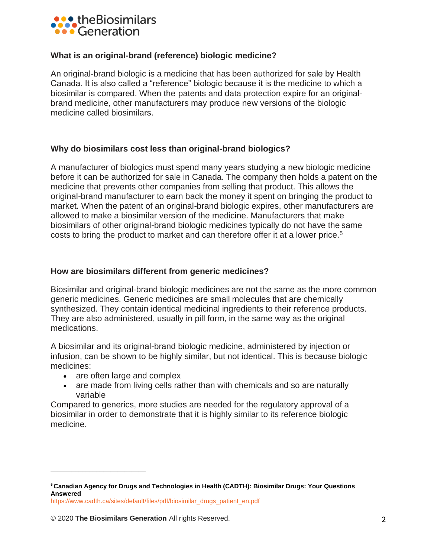

## **What is an original-brand (reference) biologic medicine?**

An original-brand biologic is a medicine that has been authorized for sale by Health Canada. It is also called a "reference" biologic because it is the medicine to which a biosimilar is compared. When the patents and data protection expire for an originalbrand medicine, other manufacturers may produce new versions of the biologic medicine called biosimilars.

## **Why do biosimilars cost less than original-brand biologics?**

A manufacturer of biologics must spend many years studying a new biologic medicine before it can be authorized for sale in Canada. The company then holds a patent on the medicine that prevents other companies from selling that product. This allows the original-brand manufacturer to earn back the money it spent on bringing the product to market. When the patent of an original-brand biologic expires, other manufacturers are allowed to make a biosimilar version of the medicine. Manufacturers that make biosimilars of other original-brand biologic medicines typically do not have the same costs to bring the product to market and can therefore offer it at a lower price.<sup>5</sup>

## **How are biosimilars different from generic medicines?**

Biosimilar and original-brand biologic medicines are not the same as the more common generic medicines. Generic medicines are small molecules that are chemically synthesized. They contain identical medicinal ingredients to their reference products. They are also administered, usually in pill form, in the same way as the original medications.

A biosimilar and its original-brand biologic medicine, administered by injection or infusion, can be shown to be highly similar, but not identical. This is because biologic medicines:

• are often large and complex

**\_\_\_\_\_\_\_\_\_\_\_\_\_\_\_\_\_\_\_\_\_\_\_\_\_\_\_**

• are made from living cells rather than with chemicals and so are naturally variable

Compared to generics, more studies are needed for the regulatory approval of a biosimilar in order to demonstrate that it is highly similar to its reference biologic medicine.

**<sup>5</sup>Canadian Agency for Drugs and Technologies in Health (CADTH): Biosimilar Drugs: Your Questions Answered**

[https://www.cadth.ca/sites/default/files/pdf/biosimilar\\_drugs\\_patient\\_en.pdf](https://www.cadth.ca/sites/default/files/pdf/biosimilar_drugs_patient_en.pdf)

<sup>© 2020</sup> **The Biosimilars Generation** All rights Reserved. 2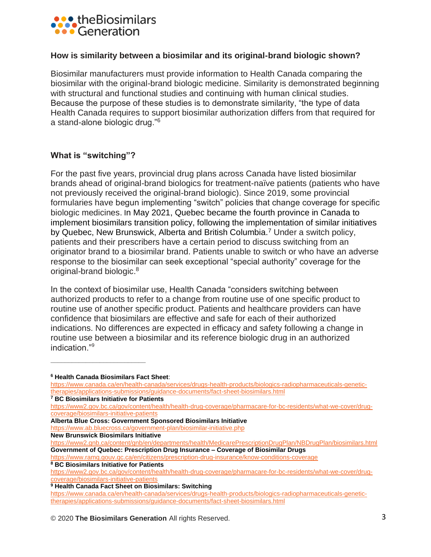

#### **How is similarity between a biosimilar and its original-brand biologic shown?**

Biosimilar manufacturers must provide information to Health Canada comparing the biosimilar with the original-brand biologic medicine. Similarity is demonstrated beginning with structural and functional studies and continuing with human clinical studies. Because the purpose of these studies is to demonstrate similarity, "the type of data Health Canada requires to support biosimilar authorization differs from that required for a stand-alone biologic drug."<sup>6</sup>

## **What is "switching"?**

For the past five years, provincial drug plans across Canada have listed biosimilar brands ahead of original-brand biologics for treatment-naïve patients (patients who have not previously received the original-brand biologic). Since 2019, some provincial formularies have begun implementing "switch" policies that change coverage for specific biologic medicines. In May 2021, Quebec became the fourth province in Canada to implement biosimilars transition policy, following the implementation of similar initiatives by Quebec, New Brunswick, Alberta and British Columbia.<sup>7</sup> Under a switch policy, patients and their prescribers have a certain period to discuss switching from an originator brand to a biosimilar brand. Patients unable to switch or who have an adverse response to the biosimilar can seek exceptional "special authority" coverage for the original-brand biologic.<sup>8</sup>

In the context of biosimilar use, Health Canada "considers switching between authorized products to refer to a change from routine use of one specific product to routine use of another specific product. Patients and healthcare providers can have confidence that biosimilars are effective and safe for each of their authorized indications. No differences are expected in efficacy and safety following a change in routine use between a biosimilar and its reference biologic drug in an authorized indication."9

**\_\_\_\_\_\_\_\_\_\_\_\_\_\_\_\_\_\_\_\_\_\_\_\_\_\_\_**

**<sup>9</sup> Health Canada Fact Sheet on Biosimilars: Switching**

© 2020 **The Biosimilars Generation** All rights Reserved. 3

**<sup>6</sup> Health Canada Biosimilars Fact Sheet**:

[https://www.canada.ca/en/health-canada/services/drugs-health-products/biologics-radiopharmaceuticals-genetic](https://www.canada.ca/en/health-canada/services/drugs-health-products/biologics-radiopharmaceuticals-genetic-therapies/applications-submissions/guidance-documents/fact-sheet-biosimilars.html)[therapies/applications-submissions/guidance-documents/fact-sheet-biosimilars.html](https://www.canada.ca/en/health-canada/services/drugs-health-products/biologics-radiopharmaceuticals-genetic-therapies/applications-submissions/guidance-documents/fact-sheet-biosimilars.html)

**<sup>7</sup> BC Biosimilars Initiative for Patients**

[https://www2.gov.bc.ca/gov/content/health/health-drug-coverage/pharmacare-for-bc-residents/what-we-cover/drug](https://www2.gov.bc.ca/gov/content/health/health-drug-coverage/pharmacare-for-bc-residents/what-we-cover/drug-coverage/biosimilars-initiative-patients)[coverage/biosimilars-initiative-patients](https://www2.gov.bc.ca/gov/content/health/health-drug-coverage/pharmacare-for-bc-residents/what-we-cover/drug-coverage/biosimilars-initiative-patients)

**Alberta Blue Cross: Government Sponsored Biosimilars Initiative**

<https://www.ab.bluecross.ca/government-plan/biosimilar-initiative.php>

**New Brunswick Biosimilars Initiative**

<https://www2.gnb.ca/content/gnb/en/departments/health/MedicarePrescriptionDrugPlan/NBDrugPlan/biosimilars.html> **Government of Quebec: Prescription Drug Insurance – Coverage of Biosimilar Drugs**

<https://www.ramq.gouv.qc.ca/en/citizens/prescription-drug-insurance/know-conditions-coverage> **<sup>8</sup> BC Biosimilars Initiative for Patients**

[https://www2.gov.bc.ca/gov/content/health/health-drug-coverage/pharmacare-for-bc-residents/what-we-cover/drug](https://www2.gov.bc.ca/gov/content/health/health-drug-coverage/pharmacare-for-bc-residents/what-we-cover/drug-coverage/biosimilars-initiative-patients)[coverage/biosimilars-initiative-patients](https://www2.gov.bc.ca/gov/content/health/health-drug-coverage/pharmacare-for-bc-residents/what-we-cover/drug-coverage/biosimilars-initiative-patients)

[https://www.canada.ca/en/health-canada/services/drugs-health-products/biologics-radiopharmaceuticals-genetic](https://www.canada.ca/en/health-canada/services/drugs-health-products/biologics-radiopharmaceuticals-genetic-therapies/applications-submissions/guidance-documents/fact-sheet-biosimilars.html)[therapies/applications-submissions/guidance-documents/fact-sheet-biosimilars.html](https://www.canada.ca/en/health-canada/services/drugs-health-products/biologics-radiopharmaceuticals-genetic-therapies/applications-submissions/guidance-documents/fact-sheet-biosimilars.html)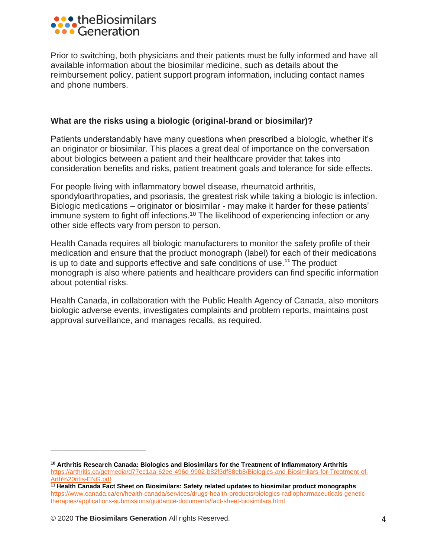

Prior to switching, both physicians and their patients must be fully informed and have all available information about the biosimilar medicine, such as details about the reimbursement policy, patient support program information, including contact names and phone numbers.

## **What are the risks using a biologic (original-brand or biosimilar)?**

Patients understandably have many questions when prescribed a biologic, whether it's an originator or biosimilar. This places a great deal of importance on the conversation about biologics between a patient and their healthcare provider that takes into consideration benefits and risks, patient treatment goals and tolerance for side effects.

For people living with inflammatory bowel disease, rheumatoid arthritis, spondyloarthropaties, and psoriasis, the greatest risk while taking a biologic is infection. Biologic medications – originator or biosimilar - may make it harder for these patients' immune system to fight off infections.<sup>10</sup> The likelihood of experiencing infection or any other side effects vary from person to person.

Health Canada requires all biologic manufacturers to monitor the safety profile of their medication and ensure that the product monograph (label) for each of their medications is up to date and supports effective and safe conditions of use.**<sup>11</sup>** The product monograph is also where patients and healthcare providers can find specific information about potential risks.

Health Canada, in collaboration with the Public Health Agency of Canada, also monitors biologic adverse events, investigates complaints and problem reports, maintains post approval surveillance, and manages recalls, as required.

**\_\_\_\_\_\_\_\_\_\_\_\_\_\_\_\_\_\_\_\_\_\_\_\_\_\_\_**

**<sup>10</sup> Arthritis Research Canada: Biologics and Biosimilars for the Treatment of Inflammatory Arthritis** [https://arthritis.ca/getmedia/d77ec1aa-62ee-496d-9902-b82f3df88eb8/Biologics-and-Biosimilars-for-Treatment-of-](https://arthritis.ca/getmedia/d77ec1aa-62ee-496d-9902-b82f3df88eb8/Biologics-and-Biosimilars-for-Treatment-of-Arth%20ritis-ENG.pdf)[Arth%20ritis-ENG.pdf](https://arthritis.ca/getmedia/d77ec1aa-62ee-496d-9902-b82f3df88eb8/Biologics-and-Biosimilars-for-Treatment-of-Arth%20ritis-ENG.pdf)

**<sup>11</sup> Health Canada Fact Sheet on Biosimilars: Safety related updates to biosimilar product monographs** [https://www.canada.ca/en/health-canada/services/drugs-health-products/biologics-radiopharmaceuticals-genetic](https://www.canada.ca/en/health-canada/services/drugs-health-products/biologics-radiopharmaceuticals-genetic-therapies/applications-submissions/guidance-documents/fact-sheet-biosimilars.html)[therapies/applications-submissions/guidance-documents/fact-sheet-biosimilars.html](https://www.canada.ca/en/health-canada/services/drugs-health-products/biologics-radiopharmaceuticals-genetic-therapies/applications-submissions/guidance-documents/fact-sheet-biosimilars.html)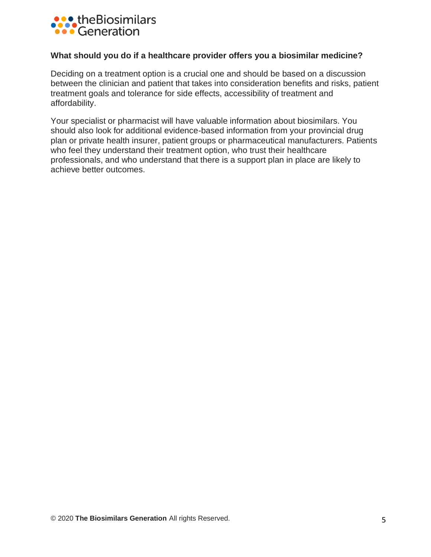

#### **What should you do if a healthcare provider offers you a biosimilar medicine?**

Deciding on a treatment option is a crucial one and should be based on a discussion between the clinician and patient that takes into consideration benefits and risks, patient treatment goals and tolerance for side effects, accessibility of treatment and affordability.

Your specialist or pharmacist will have valuable information about biosimilars. You should also look for additional evidence-based information from your provincial drug plan or private health insurer, patient groups or pharmaceutical manufacturers. Patients who feel they understand their treatment option, who trust their healthcare professionals, and who understand that there is a support plan in place are likely to achieve better outcomes.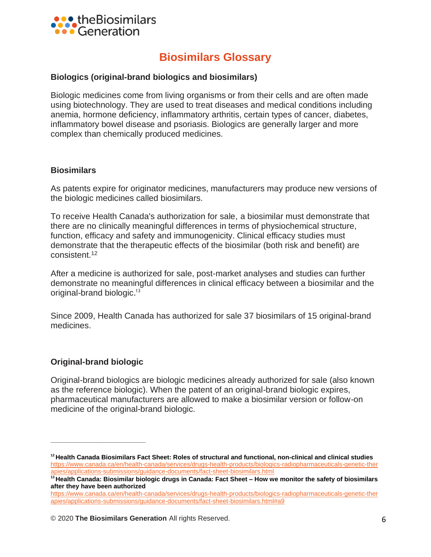

# **Biosimilars Glossary**

## **Biologics (original-brand biologics and biosimilars)**

Biologic medicines come from living organisms or from their cells and are often made using biotechnology. They are used to treat diseases and medical conditions including anemia, hormone deficiency, inflammatory arthritis, certain types of cancer, diabetes, inflammatory bowel disease and psoriasis. Biologics are generally larger and more complex than chemically produced medicines.

#### **Biosimilars**

As patents expire for originator medicines, manufacturers may produce new versions of the biologic medicines called biosimilars.

To receive Health Canada's authorization for sale, a biosimilar must demonstrate that there are no clinically meaningful differences in terms of physiochemical structure, function, efficacy and safety and immunogenicity. Clinical efficacy studies must demonstrate that the therapeutic effects of the biosimilar (both risk and benefit) are consistent. 12

After a medicine is authorized for sale, post-market analyses and studies can further demonstrate no meaningful differences in clinical efficacy between a biosimilar and the original-brand biologic. 13

Since 2009, Health Canada has authorized for sale 37 biosimilars of 15 original-brand medicines.

## **Original-brand biologic**

**\_\_\_\_\_\_\_\_\_\_\_\_\_\_\_\_\_\_\_\_\_\_\_\_\_\_\_**

Original-brand biologics are biologic medicines already authorized for sale (also known as the reference biologic). When the patent of an original-brand biologic expires, pharmaceutical manufacturers are allowed to make a biosimilar version or follow-on medicine of the original-brand biologic.

**<sup>12</sup> Health Canada Biosimilars Fact Sheet: Roles of structural and functional, non-clinical and clinical studies**  [https://www.canada.ca/en/health-canada/services/drugs-health-products/biologics-radiopharmaceuticals-genetic-ther](https://www.canada.ca/en/health-canada/services/drugs-health-products/biologics-radiopharmaceuticals-genetic-ther%20apies/applications-submissions/guidance-documents/fact-sheet-biosimilars.html)  [apies/applications-submissions/guidance-documents/fact-sheet-biosimilars.html](https://www.canada.ca/en/health-canada/services/drugs-health-products/biologics-radiopharmaceuticals-genetic-ther%20apies/applications-submissions/guidance-documents/fact-sheet-biosimilars.html)

**<sup>13</sup> Health Canada: Biosimilar biologic drugs in Canada: Fact Sheet – How we monitor the safety of biosimilars after they have been authorized** 

[https://www.canada.ca/en/health-canada/services/drugs-health-products/biologics-radiopharmaceuticals-genetic-ther](https://www.canada.ca/en/health-canada/services/drugs-health-products/biologics-radiopharmaceuticals-genetic-ther%20apies/applications-submissions/guidance-documents/fact-sheet-biosimilars.html#a9)  [apies/applications-submissions/guidance-documents/fact-sheet-biosimilars.html#a9](https://www.canada.ca/en/health-canada/services/drugs-health-products/biologics-radiopharmaceuticals-genetic-ther%20apies/applications-submissions/guidance-documents/fact-sheet-biosimilars.html#a9)

<sup>© 2020</sup> **The Biosimilars Generation** All rights Reserved. 6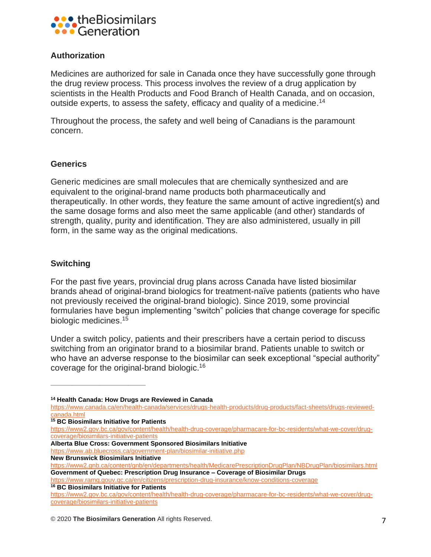

# **Authorization**

Medicines are authorized for sale in Canada once they have successfully gone through the drug review process. This process involves the review of a drug application by scientists in the Health Products and Food Branch of Health Canada, and on occasion, outside experts, to assess the safety, efficacy and quality of a medicine.<sup>14</sup>

Throughout the process, the safety and well being of Canadians is the paramount concern.

## **Generics**

Generic medicines are small molecules that are chemically synthesized and are equivalent to the original-brand name products both pharmaceutically and therapeutically. In other words, they feature the same amount of active ingredient(s) and the same dosage forms and also meet the same applicable (and other) standards of strength, quality, purity and identification. They are also administered, usually in pill form, in the same way as the original medications.

# **Switching**

For the past five years, provincial drug plans across Canada have listed biosimilar brands ahead of original-brand biologics for treatment-naïve patients (patients who have not previously received the original-brand biologic). Since 2019, some provincial formularies have begun implementing "switch" policies that change coverage for specific biologic medicines. 15

Under a switch policy, patients and their prescribers have a certain period to discuss switching from an originator brand to a biosimilar brand. Patients unable to switch or who have an adverse response to the biosimilar can seek exceptional "special authority" coverage for the original-brand biologic.16

**<sup>15</sup> BC Biosimilars Initiative for Patients**

**\_\_\_\_\_\_\_\_\_\_\_\_\_\_\_\_\_\_\_\_\_\_\_\_\_\_\_**

**Alberta Blue Cross: Government Sponsored Biosimilars Initiative**

<https://www.ab.bluecross.ca/government-plan/biosimilar-initiative.php>

<https://www.ramq.gouv.qc.ca/en/citizens/prescription-drug-insurance/know-conditions-coverage> **<sup>16</sup> BC Biosimilars Initiative for Patients**

**<sup>14</sup> Health Canada: How Drugs are Reviewed in Canada**

[https://www.canada.ca/en/health-canada/services/drugs-health-products/drug-products/fact-sheets/drugs-reviewed](https://www.canada.ca/en/health-canada/services/drugs-health-products/drug-products/fact-sheets/drugs-reviewed-canada.html)[canada.html](https://www.canada.ca/en/health-canada/services/drugs-health-products/drug-products/fact-sheets/drugs-reviewed-canada.html)

[https://www2.gov.bc.ca/gov/content/health/health-drug-coverage/pharmacare-for-bc-residents/what-we-cover/drug](https://www2.gov.bc.ca/gov/content/health/health-drug-coverage/pharmacare-for-bc-residents/what-we-cover/drug-coverage/biosimilars-initiative-patients)[coverage/biosimilars-initiative-patients](https://www2.gov.bc.ca/gov/content/health/health-drug-coverage/pharmacare-for-bc-residents/what-we-cover/drug-coverage/biosimilars-initiative-patients)

**New Brunswick Biosimilars Initiative**

<https://www2.gnb.ca/content/gnb/en/departments/health/MedicarePrescriptionDrugPlan/NBDrugPlan/biosimilars.html> **Government of Quebec: Prescription Drug Insurance – Coverage of Biosimilar Drugs**

[https://www2.gov.bc.ca/gov/content/health/health-drug-coverage/pharmacare-for-bc-residents/what-we-cover/drug](https://www2.gov.bc.ca/gov/content/health/health-drug-coverage/pharmacare-for-bc-residents/what-we-cover/drug-coverage/biosimilars-initiative-patients)[coverage/biosimilars-initiative-patients](https://www2.gov.bc.ca/gov/content/health/health-drug-coverage/pharmacare-for-bc-residents/what-we-cover/drug-coverage/biosimilars-initiative-patients)

<sup>© 2020</sup> **The Biosimilars Generation** All rights Reserved. 7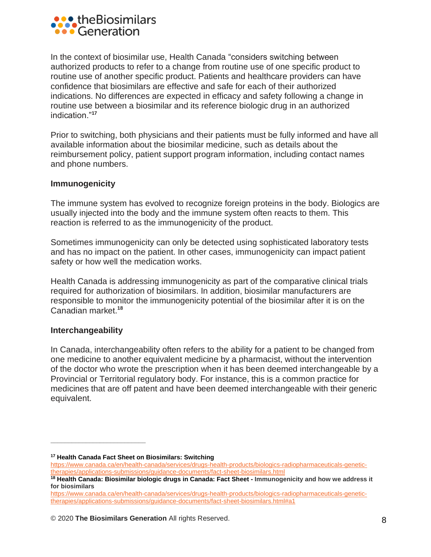

In the context of biosimilar use, Health Canada "considers switching between authorized products to refer to a change from routine use of one specific product to routine use of another specific product. Patients and healthcare providers can have confidence that biosimilars are effective and safe for each of their authorized indications. No differences are expected in efficacy and safety following a change in routine use between a biosimilar and its reference biologic drug in an authorized indication."**<sup>17</sup>**

Prior to switching, both physicians and their patients must be fully informed and have all available information about the biosimilar medicine, such as details about the reimbursement policy, patient support program information, including contact names and phone numbers.

#### **Immunogenicity**

The immune system has evolved to recognize foreign proteins in the body. Biologics are usually injected into the body and the immune system often reacts to them. This reaction is referred to as the immunogenicity of the product.

Sometimes immunogenicity can only be detected using sophisticated laboratory tests and has no impact on the patient. In other cases, immunogenicity can impact patient safety or how well the medication works.

Health Canada is addressing immunogenicity as part of the comparative clinical trials required for authorization of biosimilars. In addition, biosimilar manufacturers are responsible to monitor the immunogenicity potential of the biosimilar after it is on the Canadian market.**<sup>18</sup>**

#### **Interchangeability**

**\_\_\_\_\_\_\_\_\_\_\_\_\_\_\_\_\_\_\_\_\_\_\_\_\_\_\_**

In Canada, interchangeability often refers to the ability for a patient to be changed from one medicine to another equivalent medicine by a pharmacist, without the intervention of the doctor who wrote the prescription when it has been deemed interchangeable by a Provincial or Territorial regulatory body. For instance, this is a common practice for medicines that are off patent and have been deemed interchangeable with their generic equivalent.

**<sup>17</sup> Health Canada Fact Sheet on Biosimilars: Switching**

[https://www.canada.ca/en/health-canada/services/drugs-health-products/biologics-radiopharmaceuticals-genetic](https://www.canada.ca/en/health-canada/services/drugs-health-products/biologics-radiopharmaceuticals-genetic-therapies/applications-submissions/guidance-documents/fact-sheet-biosimilars.html)[therapies/applications-submissions/guidance-documents/fact-sheet-biosimilars.html](https://www.canada.ca/en/health-canada/services/drugs-health-products/biologics-radiopharmaceuticals-genetic-therapies/applications-submissions/guidance-documents/fact-sheet-biosimilars.html)

**<sup>18</sup> Health Canada: Biosimilar biologic drugs in Canada: Fact Sheet - Immunogenicity and how we address it for biosimilars**

[https://www.canada.ca/en/health-canada/services/drugs-health-products/biologics-radiopharmaceuticals-genetic](https://www.canada.ca/en/health-canada/services/drugs-health-products/biologics-radiopharmaceuticals-genetic-therapies/applications-submissions/guidance-documents/fact-sheet-biosimilars.html#a1)[therapies/applications-submissions/guidance-documents/fact-sheet-biosimilars.html#a1](https://www.canada.ca/en/health-canada/services/drugs-health-products/biologics-radiopharmaceuticals-genetic-therapies/applications-submissions/guidance-documents/fact-sheet-biosimilars.html#a1)

<sup>© 2020</sup> **The Biosimilars Generation** All rights Reserved. 8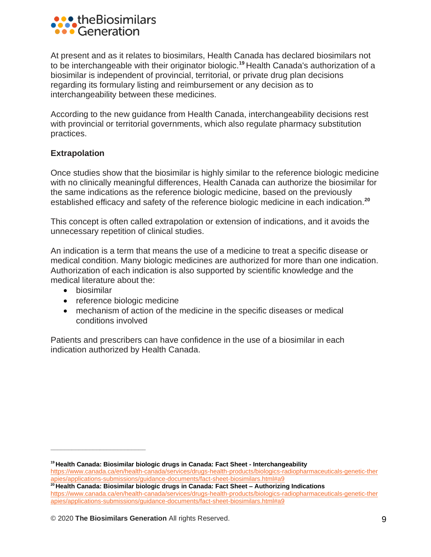

At present and as it relates to biosimilars, Health Canada has declared biosimilars not to be interchangeable with their originator biologic.**<sup>19</sup>** Health Canada's authorization of a biosimilar is independent of provincial, territorial, or private drug plan decisions regarding its formulary listing and reimbursement or any decision as to interchangeability between these medicines.

According to the new guidance from Health Canada, interchangeability decisions rest with provincial or territorial governments, which also regulate pharmacy substitution practices.

# **Extrapolation**

Once studies show that the biosimilar is highly similar to the reference biologic medicine with no clinically meaningful differences, Health Canada can authorize the biosimilar for the same indications as the reference biologic medicine, based on the previously established efficacy and safety of the reference biologic medicine in each indication.**<sup>20</sup>**

This concept is often called extrapolation or extension of indications, and it avoids the unnecessary repetition of clinical studies.

An indication is a term that means the use of a medicine to treat a specific disease or medical condition. Many biologic medicines are authorized for more than one indication. Authorization of each indication is also supported by scientific knowledge and the medical literature about the:

• biosimilar

**\_\_\_\_\_\_\_\_\_\_\_\_\_\_\_\_\_\_\_\_\_\_\_\_\_\_\_**

- reference biologic medicine
- mechanism of action of the medicine in the specific diseases or medical conditions involved

Patients and prescribers can have confidence in the use of a biosimilar in each indication authorized by Health Canada.

**<sup>19</sup> Health Canada: Biosimilar biologic drugs in Canada: Fact Sheet - Interchangeability** 

[https://www.canada.ca/en/health-canada/services/drugs-health-products/biologics-radiopharmaceuticals-genetic-ther](https://www.canada.ca/en/health-canada/services/drugs-health-products/biologics-radiopharmaceuticals-genetic-ther%20apies/applications-submissions/guidance-documents/fact-sheet-biosimilars.html#a9)  [apies/applications-submissions/guidance-documents/fact-sheet-biosimilars.html#a9](https://www.canada.ca/en/health-canada/services/drugs-health-products/biologics-radiopharmaceuticals-genetic-ther%20apies/applications-submissions/guidance-documents/fact-sheet-biosimilars.html#a9)

**<sup>20</sup> Health Canada: Biosimilar biologic drugs in Canada: Fact Sheet – Authorizing Indications**  [https://www.canada.ca/en/health-canada/services/drugs-health-products/biologics-radiopharmaceuticals-genetic-ther](https://www.canada.ca/en/health-canada/services/drugs-health-products/biologics-radiopharmaceuticals-genetic-ther%20apies/applications-submissions/guidance-documents/fact-sheet-biosimilars.html#a9)  [apies/applications-submissions/guidance-documents/fact-sheet-biosimilars.html#a9](https://www.canada.ca/en/health-canada/services/drugs-health-products/biologics-radiopharmaceuticals-genetic-ther%20apies/applications-submissions/guidance-documents/fact-sheet-biosimilars.html#a9)

<sup>© 2020</sup> **The Biosimilars Generation** All rights Reserved. 9